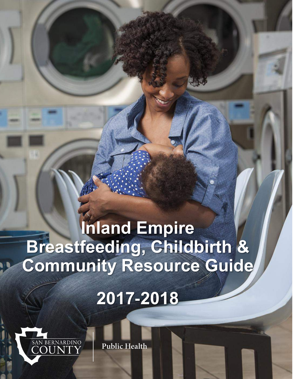# **Inland Empire Breastfeeding, Childbirth & Community Resource Guide**

建造

# **2017-2018**



**Public Health**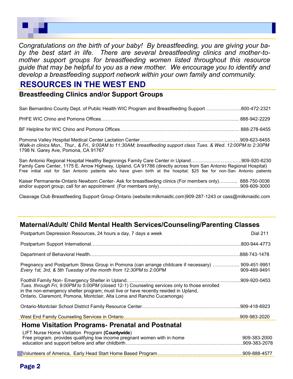

*Congratulations on the birth of your baby! By breastfeeding, you are giving your baby the best start in life. There are several breastfeeding clinics and mother*-*tomother support groups for breastfeeding women listed throughout this resource guide that may be helpful to you as a new mother. We encourage you to identify and develop a breastfeeding support network within your own family and community.*

#### **RESOURCES IN THE WEST END**

**Breastfeeding Clinics and/or Support Groups**

| San Bernardino County Dept. of Public Health WIC Program and Breastfeeding Support 800-472-2321                                                           |  |
|-----------------------------------------------------------------------------------------------------------------------------------------------------------|--|
|                                                                                                                                                           |  |
|                                                                                                                                                           |  |
| Walk-in clinics Mon., Thur., & Fri., 9:00AM to 11:30AM; breastfeeding support class Tues. & Wed. 12:00PM to 2:30PM<br>1798 N. Garey Ave, Pomona, CA 91767 |  |

San Antonio Regional Hospital Healthy Beginnings Family Care Center in Upland…………………………..909-920-6230 Family Care Center, 1175 E. Arrow Highway, Upland, CA 91786 (directly across from San Antonio Regional Hospital) Free initial visit for San Antonio patients who have given birth at the hospital; \$25 fee for non-San Antonio patients

Kaiser Permanente-Ontario Newborn Center- Ask for breastfeeding clinics (For members only)………... 888-750-0036 and/or support group; call for an appointment (For members only)……………………………………………909-609-3000

Cleavage Club Breastfeeding Support Group-Ontario (website:milkmaidlc.com)909-287-1243 or cass@milkmaidlc.com

#### **Maternal/Adult/ Child Mental Health Services/Counseling/Parenting Classes**

| Postpartum Depression Resources, 24 hours a day, 7 days a week                                                                                                                                                                                                | <b>Dial 211</b>               |
|---------------------------------------------------------------------------------------------------------------------------------------------------------------------------------------------------------------------------------------------------------------|-------------------------------|
|                                                                                                                                                                                                                                                               |                               |
|                                                                                                                                                                                                                                                               |                               |
| Pregnancy and Postpartum Stress Group in Pomona (can arrange childcare if necessary)  909-451-9951<br>Every 1st, 3rd, & 5th Tuesday of the month from 12:30PM to 2:00PM                                                                                       | 909-469-9491                  |
| Tues. through Fri, 9:00PM to 5:00PM (closed 12-1) Counseling services only to those enrolled<br>in the non-emergency shelter program; must live or have recently resided in Upland,<br>Ontario, Claremont, Pomona, Montclair, Alta Loma and Rancho Cucamonga) |                               |
|                                                                                                                                                                                                                                                               |                               |
|                                                                                                                                                                                                                                                               |                               |
| <b>Home Visitation Programs- Prenatal and Postnatal</b><br>LIFT Nurse Home Visitation Program (Countywide)                                                                                                                                                    |                               |
| Free program. provides qualifying low income pregnant women with in-home                                                                                                                                                                                      | 909-383-2000<br>.909-383-2078 |
|                                                                                                                                                                                                                                                               |                               |
|                                                                                                                                                                                                                                                               |                               |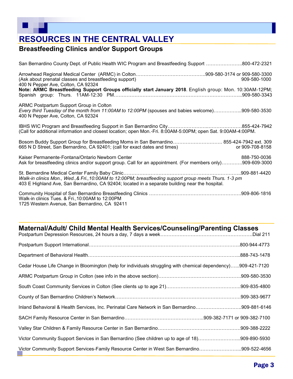# **RESOURCES IN THE CENTRAL VALLEY**

#### **Breastfeeding Clinics and/or Support Groups**

| San Bernardino County Dept. of Public Health WIC Program and Breastfeeding Support 800-472-2321                                                                                                            |                 |
|------------------------------------------------------------------------------------------------------------------------------------------------------------------------------------------------------------|-----------------|
| (Ask about prenatal classes and breastfeeding support)<br>400 N Pepper Ave, Colton, CA 92324                                                                                                               | 909-580-1000    |
| Note: ARMC Breastfeeding Support Groups officially start January 2018. English group: Mon. 10:30AM-12PM;                                                                                                   |                 |
| ARMC Postpartum Support Group in Colton<br>Every third Tuesday of the month from 11:00AM to 12:00PM (spouses and babies welcome)909-580-3530<br>400 N Pepper Ave, Colton, CA 92324                         |                 |
| (Call for additional information and closest location; open Mon.-Fri. 8:00AM-5:00PM; open Sat. 9:00AM-4:00PM.                                                                                              |                 |
| Bosom Buddy Support Group for Breastfeeding Moms in San Bernardino 855-424-7942 ext. 309<br>665 N D Street, San Bernardino, CA 92401; (call for exact dates and times)                                     | or 909-708-8158 |
| Kaiser Permanente-Fontana/Ontario Newborn Center<br>Ask for breastfeeding clinics and/or support group. Call for an appointment. (For members only)909-609-3000                                            | 888-750-0036    |
| Walk-in clinics Mon., Wed., & Fri., 10:00AM to 12:00PM; breastfeeding support group meets Thurs. 1-3 pm<br>403 E Highland Ave, San Bernardino, CA 92404; located in a separate building near the hospital. |                 |
| Walk-in clinics Tues. & Fri., 10:00AM to 12:00PM                                                                                                                                                           |                 |

1725 Western Avenue, San Bernardino, CA 92411

#### **Maternal/Adult/ Child Mental Health Services/Counseling/Parenting Classes**

| Cedar House Life Change in Bloomington (help for individuals struggling with chemical dependency)909-421-7120 |  |
|---------------------------------------------------------------------------------------------------------------|--|
|                                                                                                               |  |
|                                                                                                               |  |
|                                                                                                               |  |
| Inland Behavioral & Health Services, Inc. Perinatal Care Network in San Bernardino909-881-6146                |  |
|                                                                                                               |  |
|                                                                                                               |  |
| Victor Community Support Services in San Bernardino (See children up to age of 18)909-890-5930                |  |
| Victor Community Support Services-Family Resource Center in West San Bernardino909-522-4656                   |  |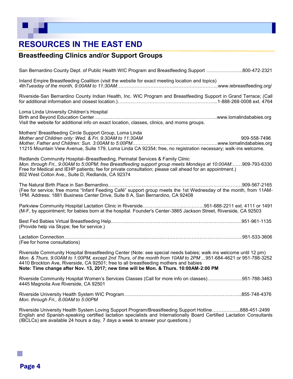# **RESOURCES IN THE EAST END**

### **Breastfeeding Clinics and/or Support Groups**

Riverside University Health System Loving Support Program/Breastfeeding Support Hotline……………...888-451-2499 English and Spanish-speaking certified lactation specialists and Internationally Board Certified Lactation Consultants (IBCLCs) are available 24 hours a day, 7 days a week to answer your questions.)

Page 4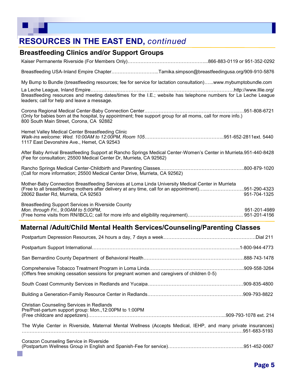# **RESOURCES IN THE EAST END,** *continued*

#### **Breastfeeding Clinics and/or Support Groups**

Kaiser Permanente Riverside (For Members Only)…………………………………………...866-883-0119 or 951-352-0292 Breastfeeding USA-Inland Empire Chapter………………………...Tamika.simpson@breastfeedingusa.org/909-910-5876 My Bump to Bundle (breastfeeding resources; fee for service for lactation consultation)…...www.mybumptobundle.com La Leche League, Inland Empire………………………………………………………………………………http://www.lllie.org/ Breastfeeding resources and meeting dates/times for the I.E.; website has telephone numbers for La Leche League leaders; call for help and leave a message. Corona Regional Medical Center-Baby Connection Center…………………………………………………..….951-808-6721 (Only for babies born at the hospital, by appointment; free support group for all moms, call for more info.) 800 South Main Street, Corona, CA 92882 Hemet Valley Medical Center Breastfeeding Clinic *Walk*-*ins welcome: Wed. 10:00AM to 12:00PM, Room 105*…………………………………………..951-652-2811ext. 5440 1117 East Devonshire Ave., Hemet, CA 92543 After Baby Arrival Breastfeeding Support at Rancho Springs Medical Center-Women's Center in Murrieta.951-440-8428 (Fee for consultation; 25500 Medical Center Dr, Murrieta, CA 92562) Rancho Springs Medical Center-Childbirth and Parenting Classes……………………………………………..800-879-1020 (Call for more information; 25500 Medical Center Drive, Murrieta, CA 92562) Mother-Baby Connection Breastfeeding Services at Loma Linda University Medical Center in Murrieta (Free to all breastfeeding mothers after delivery at any time, call for an appointment)…...…………………..951-290-4323 28062 Baxter Rd, Murrieta, CA 92563 951-704-1325 Breastfeeding Support Services in Riverside County *Mon. through Fri., 9:00AM to 5:00PM.* ويتم المستخدم المستخدم المستخدم المستخدم المستخدم المستخدم المستخدم المستخدم المستخدم المستخدم المستخدم المستخدم المستخدم المستخدم المستخدم المستخدم المستخدم المستخدم المستخدم المستخ (Free home visits from RN/IBCLC; call for more info and eligibility requirement)……………………….……. 951-201-4156

#### **Maternal /Adult/Child Mental Health Services/Counseling/Parenting Classes**

| (Offers free smoking cessation sessions for pregnant women and caregivers of children 0-5)                   |  |
|--------------------------------------------------------------------------------------------------------------|--|
|                                                                                                              |  |
|                                                                                                              |  |
| Christian Counseling Services in Redlands<br>Pre/Post-partum support group: Mon., 12:00PM to 1:00PM          |  |
| The Wylie Center in Riverside, Maternal Mental Wellness (Accepts Medical, IEHP, and many private insurances) |  |
| Corazon Counseling Service in Riverside                                                                      |  |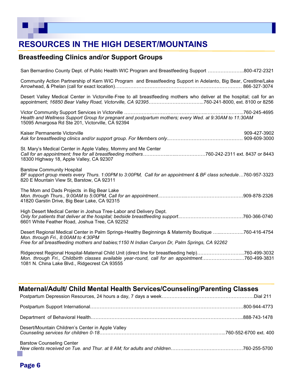# **RESOURCES IN THE HIGH DESERT/MOUNTAINS**

#### **Breastfeeding Clinics and/or Support Groups**

| San Bernardino County Dept. of Public Health WIC Program and Breastfeeding Support 800-472-2321                                                                                                                                                       |              |
|-------------------------------------------------------------------------------------------------------------------------------------------------------------------------------------------------------------------------------------------------------|--------------|
| Community Action Partnership of Kern WIC Program and Breastfeeding Support in Adelanto, Big Bear, Crestline/Lake                                                                                                                                      |              |
| Desert Valley Medical Center in Victorville-Free to all breastfeeding mothers who deliver at the hospital; call for an                                                                                                                                |              |
| Health and Wellness Support Group for pregnant and postpartum mothers; every Wed. at 9:30AM to 11:30AM<br>15095 Amargosa Rd Ste 201, Victorville, CA 92394                                                                                            |              |
| Kaiser Permanente Victorville                                                                                                                                                                                                                         | 909-427-3902 |
| St. Mary's Medical Center in Apple Valley, Mommy and Me Center<br>18300 Highway 18, Apple Valley, CA 92307                                                                                                                                            |              |
| <b>Barstow Community Hospital</b><br>BF support group meets every Thurs. 1:00PM to 3:00PM, Call for an appointment & BF class schedule760-957-3323<br>820 E Mountain View St, Barstow, CA 92311                                                       |              |
| The Mom and Dads Projects in Big Bear Lake<br>41820 Garstin Drive, Big Bear Lake, CA 92315                                                                                                                                                            |              |
| High Desert Medical Center in Joshua Tree-Labor and Delivery Dept.<br>6601 White Feather Road, Joshua Tree, CA 92252                                                                                                                                  |              |
| Desert Regional Medical Center in Palm Springs-Healthy Beginnings & Maternity Boutique 760-416-4754<br>Mon. through Fri., 8:00AM to 4:30PM<br>Free for all breastfeeding mothers and babies; 1150 N Indian Canyon Dr, Palm Springs, CA 92262          |              |
| Ridgecrest Regional Hospital-Maternal Child Unit (direct line for breastfeeding help)760-499-3032<br>Mon. through Fri., Childbirth classes available year-round, call for an appointment760-499-3831<br>1081 N. China Lake Blvd., Ridgecrest CA 93555 |              |

#### **Maternal/Adult/ Child Mental Health Services/Counseling/Parenting Classes**

| Desert/Mountain Children's Center in Apple Valley |  |
|---------------------------------------------------|--|
| <b>Barstow Counseling Center</b>                  |  |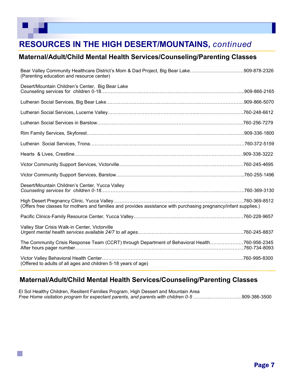# **RESOURCES IN THE HIGH DESERT/MOUNTAINS,** *continued*

#### **Maternal/Adult/Child Mental Health Services/Counseling/Parenting Classes**

| Bear Valley Community Healthcare District's Mom & Dad Project, Big Bear Lake909-878-2326<br>(Parenting education and resource center) |  |
|---------------------------------------------------------------------------------------------------------------------------------------|--|
| Desert/Mountain Children's Center, Big Bear Lake                                                                                      |  |
|                                                                                                                                       |  |
|                                                                                                                                       |  |
|                                                                                                                                       |  |
|                                                                                                                                       |  |
|                                                                                                                                       |  |
|                                                                                                                                       |  |
|                                                                                                                                       |  |
|                                                                                                                                       |  |
| Desert/Mountain Children's Center, Yucca Valley                                                                                       |  |
| (Offers free classes for mothers and families and provides assistance with purchasing pregnancy/infant supplies.)                     |  |
|                                                                                                                                       |  |
| Valley Star Crisis Walk-in Center, Victorville                                                                                        |  |
| The Community Crisis Response Team (CCRT) through Department of Behavioral Health760-956-2345                                         |  |
| (Offered to adults of all ages and children 5-18 years of age)                                                                        |  |

#### **Maternal/Adult/Child Mental Health Services/Counseling/Parenting Classes**

El Sol Healthy Children, Resilient Families Program, High Dessert and Mountain Area *Free Home visitation program for expectant parents, and parents with children 0*-*5* ………..………………..909-386-3500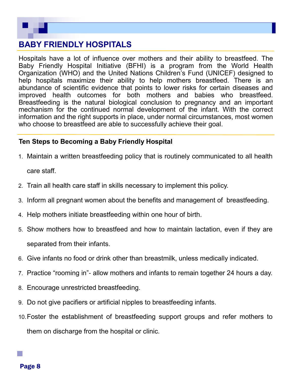

#### **BABY FRIENDLY HOSPITALS**

Hospitals have a lot of influence over mothers and their ability to breastfeed. The Baby Friendly Hospital Initiative (BFHI) is a program from the World Health Organization (WHO) and the United Nations Children's Fund (UNICEF) designed to help hospitals maximize their ability to help mothers breastfeed. There is an abundance of scientific evidence that points to lower risks for certain diseases and improved health outcomes for both mothers and babies who breastfeed. Breastfeeding is the natural biological conclusion to pregnancy and an important mechanism for the continued normal development of the infant. With the correct information and the right supports in place, under normal circumstances, most women who choose to breastfeed are able to successfully achieve their goal.

#### **Ten Steps to Becoming a Baby Friendly Hospital**

- 1. Maintain a written breastfeeding policy that is routinely communicated to all health care staff.
- 2. Train all health care staff in skills necessary to implement this policy.
- 3. Inform all pregnant women about the benefits and management of breastfeeding.
- 4. Help mothers initiate breastfeeding within one hour of birth.
- 5. Show mothers how to breastfeed and how to maintain lactation, even if they are separated from their infants.
- 6. Give infants no food or drink other than breastmilk, unless medically indicated.
- 7. Practice "rooming in"- allow mothers and infants to remain together 24 hours a day.
- 8. Encourage unrestricted breastfeeding.
- 9. Do not give pacifiers or artificial nipples to breastfeeding infants.
- 10.Foster the establishment of breastfeeding support groups and refer mothers to them on discharge from the hospital or clinic.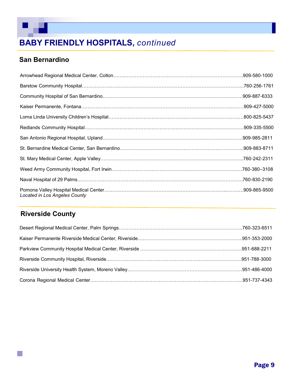# **BABY FRIENDLY HOSPITALS,** *continued*

### **San Bernardino**

 $\mathbb{R}$ 

| Located in Los Angeles County |  |
|-------------------------------|--|

### **Riverside County**

 $\mathbb{R}^n$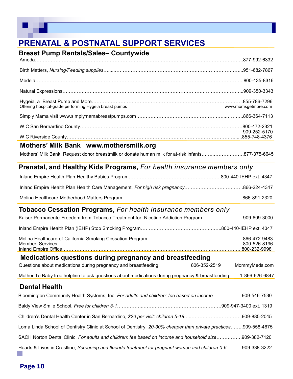

# **PRENATAL & POSTNATAL SUPPORT SERVICES**

| <b>Breast Pump Rentals/Sales- Countywide</b>                                                                                                          |                     |
|-------------------------------------------------------------------------------------------------------------------------------------------------------|---------------------|
|                                                                                                                                                       |                     |
|                                                                                                                                                       |                     |
|                                                                                                                                                       |                     |
|                                                                                                                                                       |                     |
| Offering hospital-grade performing Hygeia breast pumps                                                                                                | www.momsgetmore.com |
|                                                                                                                                                       |                     |
|                                                                                                                                                       |                     |
|                                                                                                                                                       | 909-252-5170        |
| Mothers' Milk Bank www.mothersmilk.org                                                                                                                |                     |
| Mothers' Milk Bank, Request donor breastmilk or donate human milk for at-risk infants877-375-6645                                                     |                     |
| <b>Prenatal, and Healthy Kids Programs, For health insurance members only</b>                                                                         |                     |
|                                                                                                                                                       |                     |
|                                                                                                                                                       |                     |
|                                                                                                                                                       |                     |
| <b>Tobacco Cessation Programs, For health insurance members only</b>                                                                                  |                     |
| Kaiser Permanente-Freedom from Tobacco Treatment for Nicotine Addiction Program909-609-3000                                                           |                     |
|                                                                                                                                                       |                     |
|                                                                                                                                                       |                     |
|                                                                                                                                                       |                     |
|                                                                                                                                                       |                     |
| Medications questions during pregnancy and breastfeeding<br>Questions about medications during pregnancy and breastfeeding 606-352-2519 MommyMeds.com |                     |
| Mother To Baby free helpline to ask questions about medications during pregnancy & breastfeeding                                                      | 1-866-626-6847      |
| <b>Dental Health</b>                                                                                                                                  |                     |
| Bloomington Community Health Systems, Inc. For adults and children; fee based on income909-546-7530                                                   |                     |
|                                                                                                                                                       |                     |
|                                                                                                                                                       |                     |
| Loma Linda School of Dentistry Clinic at School of Dentistry, 20-30% cheaper than private practices909-558-4675                                       |                     |
| SACH Norton Dental Clinic, For adults and children; fee based on income and household size909-382-7120                                                |                     |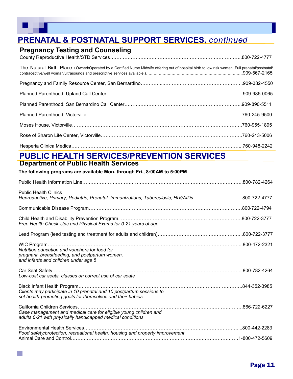p.

# **PRENATAL & POSTNATAL SUPPORT SERVICES,** *continued*

#### **Pregnancy Testing and Counseling**

| The Natural Birth Place (Owned/Operated by a Certified Nurse Midwife offering out of hospital birth to low risk women. Full prenatal/postnatal/ |  |
|-------------------------------------------------------------------------------------------------------------------------------------------------|--|
|                                                                                                                                                 |  |
|                                                                                                                                                 |  |
|                                                                                                                                                 |  |
|                                                                                                                                                 |  |
|                                                                                                                                                 |  |
|                                                                                                                                                 |  |
|                                                                                                                                                 |  |

# **PUBLIC HEALTH SERVICES/PREVENTION SERVICES**

#### **Department of Public Health Services**

#### **The following programs are available Mon. through Fri., 8:00AM to 5:00PM**

| Reproductive, Primary, Pediatric, Prenatal, Immunizations, Tuberculosis, HIV/AIDs800-722-4777 |
|-----------------------------------------------------------------------------------------------|
|                                                                                               |
|                                                                                               |
|                                                                                               |
|                                                                                               |
|                                                                                               |
|                                                                                               |
| .866-722-6227                                                                                 |
|                                                                                               |
|                                                                                               |
|                                                                                               |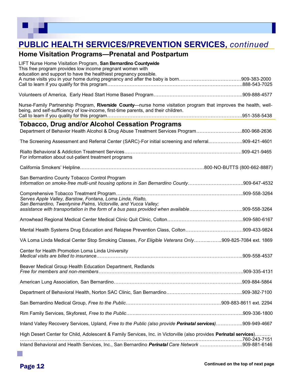

# **PUBLIC HEALTH SERVICES/PREVENTION SERVICES,** *continued*

#### **Home Visitation Programs—Prenatal and Postpartum**

| LIFT Nurse Home Visitation Program, San Bernardino Countywide<br>This free program provides low income pregnant women with<br>education and support to have the healthiest pregnancy possible. |  |
|------------------------------------------------------------------------------------------------------------------------------------------------------------------------------------------------|--|
|                                                                                                                                                                                                |  |
|                                                                                                                                                                                                |  |
| Nurse-Family Partnership Program, Riverside County-nurse home visitation program that improves the health, well-                                                                               |  |
| being, and self-sufficiency of low-income, first-time parents, and their children.                                                                                                             |  |
| <b>Tobacco, Drug and/or Alcohol Cessation Programs</b>                                                                                                                                         |  |
| Department of Behavior Health Alcohol & Drug Abuse Treatment Services Program800-968-2636                                                                                                      |  |
| The Screening Assessment and Referral Center (SARC)-For initial screening and referral909-421-4601                                                                                             |  |
| For information about out-patient treatment programs                                                                                                                                           |  |
|                                                                                                                                                                                                |  |
|                                                                                                                                                                                                |  |
| San Bernardino County Tobacco Control Program<br>Information on smoke-free multi-unit housing options in San Bernardino County909-647-4532                                                     |  |
|                                                                                                                                                                                                |  |
| Serves Apple Valley, Barstow, Fontana, Loma Linda, Rialto,<br>San Bernardino, Twentynine Palms, Victorville, and Yucca Valley;                                                                 |  |
|                                                                                                                                                                                                |  |
|                                                                                                                                                                                                |  |
| Mental Health Systems Drug Education and Relapse Prevention Class, Colton909-433-9824                                                                                                          |  |
| VA Loma Linda Medical Center Stop Smoking Classes, For Eligible Veterans Only909-825-7084 ext. 1869                                                                                            |  |
| Center for Health Promotion Loma Linda University                                                                                                                                              |  |
|                                                                                                                                                                                                |  |
| Beaver Medical Group Health Education Department, Redlands                                                                                                                                     |  |
|                                                                                                                                                                                                |  |
|                                                                                                                                                                                                |  |
|                                                                                                                                                                                                |  |
|                                                                                                                                                                                                |  |
| Inland Valley Recovery Services, Upland, Free to the Public (also provide Perinatal services)909-949-4667                                                                                      |  |
| High Desert Center for Child, Adolescent & Family Services, Inc. in Victorville (also provides Perinatal services)                                                                             |  |
| Inland Behavioral and Health Services, Inc., San Bernardino Perinatal Care Network 909-881-6146                                                                                                |  |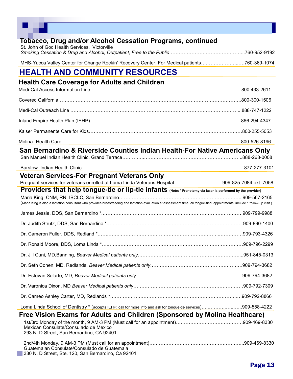| <b>Tobacco, Drug and/or Alcohol Cessation Programs, continued</b>                            |               |
|----------------------------------------------------------------------------------------------|---------------|
| St. John of God Health Services, Victorville                                                 |               |
| MHS-Yucca Valley Center for Change Rockin' Recovery Center, For Medical patients760-369-1074 |               |
| <b>HEALTH AND COMMUNITY RESOURCES</b>                                                        |               |
| <b>Health Care Coverage for Adults and Children</b>                                          |               |
|                                                                                              | .800-433-2611 |

| San Bernardino & Riverside Counties Indian Health-For Native Americans Only                                                                                                                                                                                         |  |
|---------------------------------------------------------------------------------------------------------------------------------------------------------------------------------------------------------------------------------------------------------------------|--|
|                                                                                                                                                                                                                                                                     |  |
| <b>Veteran Services-For Pregnant Veterans Only</b><br>Pregnant services for veterans enrolled at Loma Linda Veterans Hospital909-825-7084 ext. 7058<br>Providers that help tongue-tie or lip-tie infants (Note: * Frenotomy via laser is performed by the provider) |  |
| (Maria King is also a lactation consultant who provides breastfeeding and lactation evaluation at assessment time; all tongue-tied appointments include 1 follow-up visit.)                                                                                         |  |
|                                                                                                                                                                                                                                                                     |  |
|                                                                                                                                                                                                                                                                     |  |
|                                                                                                                                                                                                                                                                     |  |
|                                                                                                                                                                                                                                                                     |  |
|                                                                                                                                                                                                                                                                     |  |
|                                                                                                                                                                                                                                                                     |  |
|                                                                                                                                                                                                                                                                     |  |
|                                                                                                                                                                                                                                                                     |  |
|                                                                                                                                                                                                                                                                     |  |
| Loma Linda School of Dentistry * (accepts IEHP; call for more info and ask for tongue-tie services)909-558-4222                                                                                                                                                     |  |
| Free Vision Exams for Adults and Children (Sponsored by Molina Healthcare)<br>Mexican Consulate/Consulado de Mexico<br>293 N. D Street, San Bernardino, CA 92401                                                                                                    |  |
| Guatemalan Consulate/Consulado de Guatemala                                                                                                                                                                                                                         |  |

330 N. D Street, Ste. 120, San Bernardino, Ca 92401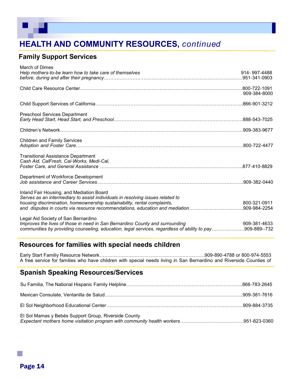

#### **Family Support Services**

| March of Dimes<br>Help mothers-to-be learn how to take care of themselves                                                                                                                                                                                                              | 914-997-4488                  |
|----------------------------------------------------------------------------------------------------------------------------------------------------------------------------------------------------------------------------------------------------------------------------------------|-------------------------------|
|                                                                                                                                                                                                                                                                                        | 909-384-8000                  |
|                                                                                                                                                                                                                                                                                        |                               |
| <b>Preschool Services Department</b>                                                                                                                                                                                                                                                   |                               |
|                                                                                                                                                                                                                                                                                        |                               |
| <b>Children and Family Services</b>                                                                                                                                                                                                                                                    |                               |
| <b>Transitional Assistance Department</b><br>Cash Aid, CalFresh, Cal-Works, Medi-Cal,                                                                                                                                                                                                  |                               |
| Department of Workforce Development                                                                                                                                                                                                                                                    |                               |
| Inland Fair Housing, and Mediation Board<br>Serves as an intermediary to assist individuals in resolving issues related to<br>housing discrimination, homeownership sustainability, rental complaints,<br>and disputes in courts via resource recommendations, education and mediation | 800-321-0911<br>.909-984-2254 |
| Legal Aid Society of San Bernardino<br>Improves the lives of those in need in San Bernardino County and surrounding<br>communities by providing counseling, education, legal services, regardless of ability to pay909-889--732                                                        | 909-381-4633                  |

#### **Resources for families with special needs children**

Early Start Familiy Resource Network…………………………………………………………909-890-4788 or 800-974-5553 A free service for families who have children with special needs living in San Bernardino and Riverside Counties of

#### **Spanish Speaking Resources/Services**

| El Sol Mamas y Bebés Support Group, Riverside County |  |
|------------------------------------------------------|--|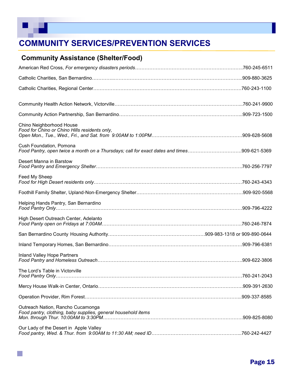

 $\mathbb{R}^n$ 

# **COMMUNITY SERVICES/PREVENTION SERVICES**

### **Community Assistance (Shelter/Food)**

| Chino Neighborhood House<br>Food for Chino or Chino Hills residents only,                                             |  |
|-----------------------------------------------------------------------------------------------------------------------|--|
| Cush Foundation, Pomona<br>Food Pantry, open twice a month on a Thursdays; call for exact dates and times909-621-5369 |  |
| Desert Manna in Barstow                                                                                               |  |
| Feed My Sheep                                                                                                         |  |
|                                                                                                                       |  |
| Helping Hands Pantry, San Bernardino                                                                                  |  |
| High Desert Outreach Center, Adelanto                                                                                 |  |
|                                                                                                                       |  |
|                                                                                                                       |  |
| Inland Valley Hope Partners                                                                                           |  |
| The Lord's Table in Victorville                                                                                       |  |
|                                                                                                                       |  |
|                                                                                                                       |  |
| Outreach Nation, Rancho Cucamonga<br>Food pantry, clothing, baby supplies, general household items                    |  |
| Our Lady of the Desert in Apple Valley                                                                                |  |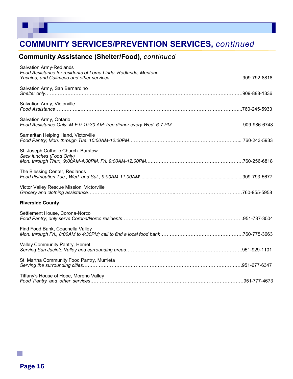

# **COMMUNITY SERVICES/PREVENTION SERVICES,** *continued*

### **Community Assistance (Shelter/Food),** *continued*

| <b>Salvation Army-Redlands</b><br>Food Assistance for residents of Loma Linda, Redlands, Mentone, |  |
|---------------------------------------------------------------------------------------------------|--|
| Salvation Army, San Bernardino                                                                    |  |
| Salvation Army, Victorville                                                                       |  |
| Salvation Army, Ontario                                                                           |  |
| Samaritan Helping Hand, Victorville                                                               |  |
| St. Joseph Catholic Church. Barstow<br>Sack lunches (Food Only)                                   |  |
| The Blessing Center, Redlands                                                                     |  |
| Victor Valley Rescue Mission, Victorville                                                         |  |
| <b>Riverside County</b>                                                                           |  |
| Settlement House, Corona-Norco                                                                    |  |
| Find Food Bank, Coachella Valley                                                                  |  |
| Valley Community Pantry, Hemet                                                                    |  |
| St. Martha Community Food Pantry, Murrieta                                                        |  |
| Tiffany's House of Hope, Moreno Valley                                                            |  |

p.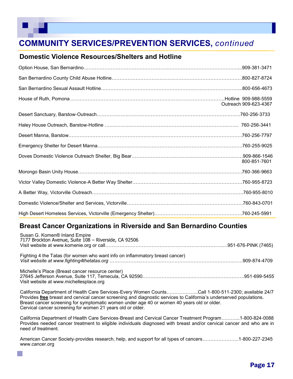# **COMMUNITY SERVICES/PREVENTION SERVICES,** *continued*

#### **Domestic Violence Resources/Shelters and Hotline**

| House of Ruth, Pomona ………………………………………………………………………………………Hotline  909-988-5559 | Outreach 909-623-4367 |
|------------------------------------------------------------------------------|-----------------------|
|                                                                              | .760-256-3733         |
|                                                                              |                       |
|                                                                              |                       |
|                                                                              |                       |
|                                                                              | 800-851-7601          |
|                                                                              |                       |
|                                                                              |                       |
|                                                                              |                       |
|                                                                              | .760-843-0701         |
|                                                                              |                       |

#### **Breast Cancer Organizations in Riverside and San Bernardino Counties**

| Susan G. Komen® Inland Empire<br>7177 Brockton Avenue, Suite 108 - Riverside, CA 92506      |  |
|---------------------------------------------------------------------------------------------|--|
| Fighting 4 the Tatas (for women who want info on inflammatory breast cancer)                |  |
| Michelle's Place (Breast cancer resource center)<br>Visit website at www.michellesplace.org |  |

California Department of Health Care Services-Every Women Counts………………..Call 1-800-511-2300; available 24/7 Provides **free** breast and cervical cancer screening and diagnostic services to California's underserved populations. Breast cancer screening for symptomatic women under age 40 or women 40 years old or older. Cervical cancer screening for women 21 years old or older.

California Department of Health Care Services-Breast and Cervical Cancer Treatment Program………...1-800-824-0088 Provides needed cancer treatment to eligible individuals diagnosed with breast and/or cervical cancer and who are in need of treatment.

American Cancer Society-provides research, help, and support for all types of cancers…………………..1-800-227-2345 www.cancer.org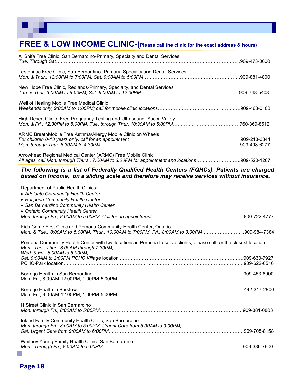

# **FREE & LOW INCOME CLINIC-(Please call the clinic for the exact address & hours)**

| Al Shifa Free Clinic, San Bernardino-Primary, Specialty and Dental Services<br>Lestonnac Free Clinic, San Bernardino- Primary, Specialty and Dental Services<br>New Hope Free Clinic, Redlands-Primary, Specialty, and Dental Services<br>Well of Healing Mobile Free Medical Clinic<br>High Desert Clinic- Free Pregnancy Testing and Ultrasound, Yucca Valley<br>ARMC BreathMobile Free Asthma/Allergy Mobile Clinic on Wheels<br>For children 0-18 years only; call for an appointment<br>909-213-3341<br>Arrowhead Regional Medical Center (ARMC) Free Mobile Clinic<br>All ages, call Mon. through Thurs., 7:00AM to 3:00PM for appointment and locations909-520-1207<br>The following is a list of Federally Qualified Health Centers (FQHCs). Patients are charged<br>based on income, on a sliding scale and therefore may receive services without insurance.<br>Department of Public Health Clinics:<br>• Adelanto Community Health Center<br>• Hesperia Community Health Center<br>• San Bernardino Community Health Center<br>• Ontario Community Health Center<br>Kids Come First Clinic and Pomona Community Health Center, Ontario<br>Mon. & Tue., 8:00AM to 5:00PM, Thur., 10:00AM to 7:00PM, Fri., 8:00AM to 3:00PM909-984-7384<br>Pomona Community Health Center with two locations in Pomona to serve clients; please call for the closest location.<br>Mon., Tue., Thur., 8:00AM through 7:30PM,<br>Wed. & Fri., 8:00AM to 5:00PM,<br>Mon.-Fri., 8:00AM-12:00PM, 1:00PM-5:00PM<br>Mon.-Fri., 9:00AM-12:00PM, 1:00PM-5:00PM<br>H Street Clinic in San Bernardino<br>Inland Family Community Health Clinic, San Bernardino<br>Mon. through Fri., 8:00AM to 5:00PM, Urgent Care from 5:00AM to 9:00PM; |               |
|-------------------------------------------------------------------------------------------------------------------------------------------------------------------------------------------------------------------------------------------------------------------------------------------------------------------------------------------------------------------------------------------------------------------------------------------------------------------------------------------------------------------------------------------------------------------------------------------------------------------------------------------------------------------------------------------------------------------------------------------------------------------------------------------------------------------------------------------------------------------------------------------------------------------------------------------------------------------------------------------------------------------------------------------------------------------------------------------------------------------------------------------------------------------------------------------------------------------------------------------------------------------------------------------------------------------------------------------------------------------------------------------------------------------------------------------------------------------------------------------------------------------------------------------------------------------------------------------------------------------------------------------------------------------------------------------------------------------------|---------------|
|                                                                                                                                                                                                                                                                                                                                                                                                                                                                                                                                                                                                                                                                                                                                                                                                                                                                                                                                                                                                                                                                                                                                                                                                                                                                                                                                                                                                                                                                                                                                                                                                                                                                                                                         |               |
|                                                                                                                                                                                                                                                                                                                                                                                                                                                                                                                                                                                                                                                                                                                                                                                                                                                                                                                                                                                                                                                                                                                                                                                                                                                                                                                                                                                                                                                                                                                                                                                                                                                                                                                         |               |
|                                                                                                                                                                                                                                                                                                                                                                                                                                                                                                                                                                                                                                                                                                                                                                                                                                                                                                                                                                                                                                                                                                                                                                                                                                                                                                                                                                                                                                                                                                                                                                                                                                                                                                                         |               |
|                                                                                                                                                                                                                                                                                                                                                                                                                                                                                                                                                                                                                                                                                                                                                                                                                                                                                                                                                                                                                                                                                                                                                                                                                                                                                                                                                                                                                                                                                                                                                                                                                                                                                                                         |               |
|                                                                                                                                                                                                                                                                                                                                                                                                                                                                                                                                                                                                                                                                                                                                                                                                                                                                                                                                                                                                                                                                                                                                                                                                                                                                                                                                                                                                                                                                                                                                                                                                                                                                                                                         |               |
|                                                                                                                                                                                                                                                                                                                                                                                                                                                                                                                                                                                                                                                                                                                                                                                                                                                                                                                                                                                                                                                                                                                                                                                                                                                                                                                                                                                                                                                                                                                                                                                                                                                                                                                         |               |
|                                                                                                                                                                                                                                                                                                                                                                                                                                                                                                                                                                                                                                                                                                                                                                                                                                                                                                                                                                                                                                                                                                                                                                                                                                                                                                                                                                                                                                                                                                                                                                                                                                                                                                                         |               |
|                                                                                                                                                                                                                                                                                                                                                                                                                                                                                                                                                                                                                                                                                                                                                                                                                                                                                                                                                                                                                                                                                                                                                                                                                                                                                                                                                                                                                                                                                                                                                                                                                                                                                                                         |               |
|                                                                                                                                                                                                                                                                                                                                                                                                                                                                                                                                                                                                                                                                                                                                                                                                                                                                                                                                                                                                                                                                                                                                                                                                                                                                                                                                                                                                                                                                                                                                                                                                                                                                                                                         |               |
|                                                                                                                                                                                                                                                                                                                                                                                                                                                                                                                                                                                                                                                                                                                                                                                                                                                                                                                                                                                                                                                                                                                                                                                                                                                                                                                                                                                                                                                                                                                                                                                                                                                                                                                         |               |
|                                                                                                                                                                                                                                                                                                                                                                                                                                                                                                                                                                                                                                                                                                                                                                                                                                                                                                                                                                                                                                                                                                                                                                                                                                                                                                                                                                                                                                                                                                                                                                                                                                                                                                                         |               |
|                                                                                                                                                                                                                                                                                                                                                                                                                                                                                                                                                                                                                                                                                                                                                                                                                                                                                                                                                                                                                                                                                                                                                                                                                                                                                                                                                                                                                                                                                                                                                                                                                                                                                                                         | .909-622-6516 |
|                                                                                                                                                                                                                                                                                                                                                                                                                                                                                                                                                                                                                                                                                                                                                                                                                                                                                                                                                                                                                                                                                                                                                                                                                                                                                                                                                                                                                                                                                                                                                                                                                                                                                                                         |               |
|                                                                                                                                                                                                                                                                                                                                                                                                                                                                                                                                                                                                                                                                                                                                                                                                                                                                                                                                                                                                                                                                                                                                                                                                                                                                                                                                                                                                                                                                                                                                                                                                                                                                                                                         |               |
|                                                                                                                                                                                                                                                                                                                                                                                                                                                                                                                                                                                                                                                                                                                                                                                                                                                                                                                                                                                                                                                                                                                                                                                                                                                                                                                                                                                                                                                                                                                                                                                                                                                                                                                         |               |
|                                                                                                                                                                                                                                                                                                                                                                                                                                                                                                                                                                                                                                                                                                                                                                                                                                                                                                                                                                                                                                                                                                                                                                                                                                                                                                                                                                                                                                                                                                                                                                                                                                                                                                                         |               |

Whitney Young Family Health Clinic -San Bernardino *Mon. Through Fri., 8:00AM to 5:00PM*..…………………………………………………………………………...909-386-7600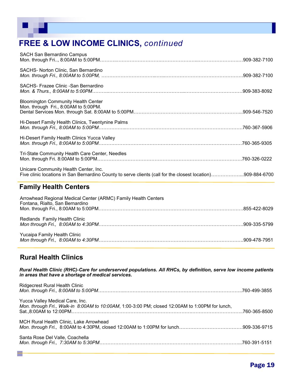# **FREE & LOW INCOME CLINICS,** *continued*

| SACHS- Norton Clinic, San Bernardino<br>SACHS- Frazee Clinic - San Bernardino<br><b>Bloomington Community Health Center</b><br>Mon. through Fri., 8:00AM to 5:00PM.<br>Hi-Desert Family Health Clinics, Twentynine Palms |  |
|--------------------------------------------------------------------------------------------------------------------------------------------------------------------------------------------------------------------------|--|
|                                                                                                                                                                                                                          |  |
|                                                                                                                                                                                                                          |  |
|                                                                                                                                                                                                                          |  |
|                                                                                                                                                                                                                          |  |
| Hi-Desert Family Health Clinics Yucca Valley                                                                                                                                                                             |  |
| Tri-State Community Health Care Center, Needles                                                                                                                                                                          |  |
| Unicare Community Health Center, Inc.<br>Five clinic locations in San Bernardino County to serve clients (call for the closest location)909-884-6700                                                                     |  |

#### **Family Health Centers**

| Arrowhead Regional Medical Center (ARMC) Family Health Centers<br>Fontana, Rialto, San Bernardino |  |
|---------------------------------------------------------------------------------------------------|--|
| Redlands Family Health Clinic                                                                     |  |
| Yucaipa Family Health Clinic                                                                      |  |

#### **Rural Health Clinics**

*Rural Health Clinic (RHC)***-***Care for underserved populations. All RHCs, by definition, serve low income patients in areas that have a shortage of medical services.* 

| <b>Ridgecrest Rural Health Clinic</b>                                                                                              |  |
|------------------------------------------------------------------------------------------------------------------------------------|--|
| Yucca Valley Medical Care, Inc.<br>Mon. through Fri., Walk-in 8:00AM to 10:00AM, 1:00-3:00 PM; closed 12:00AM to 1:00PM for lunch, |  |
| MCH Rural Health Clinic, Lake Arrowhead                                                                                            |  |
| Santa Rose Del Valle, Coachella                                                                                                    |  |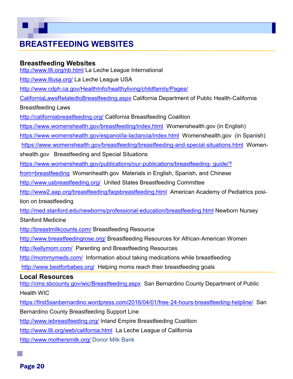# **BREASTFEEDING WEBSITES**

#### **Breastfeeding Websites**

<http://www.llli.org/nb.html> La Leche League International

<http://www.lllusa.org/> La Leche League USA

[http://www.cdph.ca.gov/HealthInfo/healthyliving/childfamily/Pages/](http://www.cdph.ca.gov/HealthInfo/healthyliving/childfamily/Pages/CaliforniaLawsRelatedtoBreastfeeding.aspx)

[CaliforniaLawsRelatedtoBreastfeeding.aspx](http://www.cdph.ca.gov/HealthInfo/healthyliving/childfamily/Pages/CaliforniaLawsRelatedtoBreastfeeding.aspx) California Department of Public Health-California

Breastfeeding Laws

<http://californiabreastfeeding.org/> California Breastfeeding Coalition

<https://www.womenshealth.gov/breastfeeding/index.html> Womenshealth.gov (in English)

[https://www.womenshealth.gov/espanol/la](https://www.womenshealth.gov/espanol/la-lactancia/index.html)-lactancia/index.html Womenshealth.gov (in Spanish)

[https://www.womenshealth.gov/breastfeeding/breastfeeding](https://www.womenshealth.gov/breastfeeding/breastfeeding-and-special-situations.html)-and-special-situations.html Women-

shealth.gov Breastfeeding and Special Situations

[https://www.womenshealth.gov/publications/our](https://www.womenshealth.gov/publications/our-publications/breastfeeding-%20guide/?from=breastfeeding)-publications/breastfeeding- guide/?

[from=breastfeeding](https://www.womenshealth.gov/publications/our-publications/breastfeeding-%20guide/?from=breastfeeding) Womenhealth.gov Materials in English, Spanish, and Chinese

<http://www.usbreastfeeding.org/>United States Breastfeeding Committee

<http://www2.aap.org/breastfeeding/faqsbreastfeeding.html>American Academy of Pediatrics posi-

tion on breastfeeding

[http://med.stanford.edu/newborns/professional](http://med.stanford.edu/newborns/professional-education/breastfeeding.html)-education/breastfeeding.html Newborn Nursey

Stanford Medicine

<http://breastmilkcounts.com/> Breastfeeding Resource

<http://www.breastfeedingrose.org/> Breastfeeding Resources for African-American Women

<http://kellymom.com/>Parenting and Breastfeeding Resources

<http://mommymeds.com/>Information about taking medications while breastfeeding

<http://www.bestforbabes.org/>Helping moms reach their breastfeeding goals

#### **Local Resources**

<http://cms.sbcounty.gov/wic/Breastfeeding.aspx>San Bernardino County Department of Public Health WIC

[https://first5sanbernardino.wordpress.com/2016/04/01/free](https://first5sanbernardino.wordpress.com/2016/04/01/free-24-hours-breastfeeding-helpline/)-24-hours-breastfeeding-helpline/ San

Bernardino County Breastfeeding Support Line

<http://www.iebreastfeeding.org/> Inland Empire Breastfeeding Coalition

<http://www.llli.org/web/california.html>La Leche League of California

<http://www.mothersmilk.org/> Donor Milk Bank